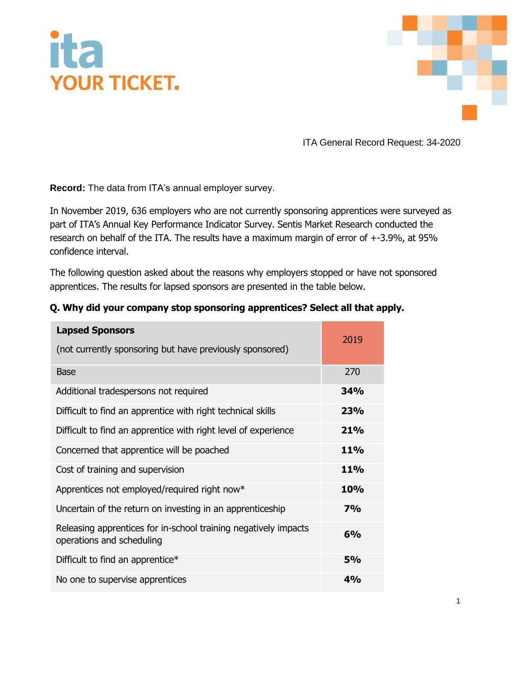## **YOUR TICKET.**



ITA General Record Request: 34-2020

**Record:** The data from ITA's annual employer survey.

In November 2019, 636 employers who are not currently sponsoring apprentices were surveyed as part of ITA's Annual Key Performance Indicator Survey. Sentis Market Research conducted the research on behalf of the ITA. The results have a maximum margin of error of +-3.9%, at 95% confidence interval.

The following question asked about the reasons why employers stopped or have not sponsored apprentices. The results for lapsed sponsors are presented in the table below.

| <b>Lapsed Sponsors</b><br>(not currently sponsoring but have previously sponsored)           | 2019       |
|----------------------------------------------------------------------------------------------|------------|
| <b>Base</b>                                                                                  | 270        |
| Additional tradespersons not required                                                        | 34%        |
| Difficult to find an apprentice with right technical skills                                  | <b>23%</b> |
| Difficult to find an apprentice with right level of experience                               | 21%        |
| Concerned that apprentice will be poached                                                    | <b>11%</b> |
| Cost of training and supervision                                                             | <b>11%</b> |
| Apprentices not employed/required right now*                                                 | <b>10%</b> |
| Uncertain of the return on investing in an apprenticeship                                    | 7%         |
| Releasing apprentices for in-school training negatively impacts<br>operations and scheduling | 6%         |
| Difficult to find an apprentice*                                                             | <b>5%</b>  |
| No one to supervise apprentices                                                              | 4%         |

## **Q. Why did your company stop sponsoring apprentices? Select all that apply.**